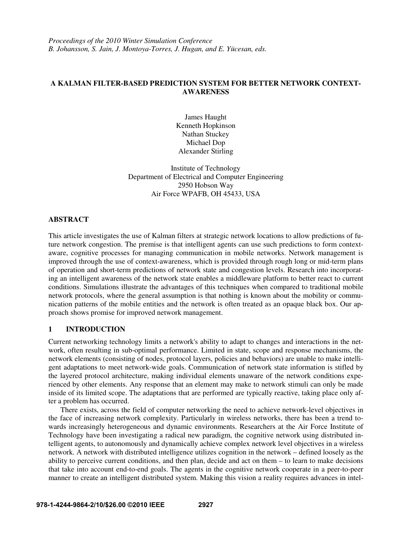## **A KALMAN FILTER-BASED PREDICTION SYSTEM FOR BETTER NETWORK CONTEXT-AWARENESS**

James Haught Kenneth Hopkinson Nathan Stuckey Michael Dop Alexander Stirling

Institute of Technology Department of Electrical and Computer Engineering 2950 Hobson Way Air Force WPAFB, OH 45433, USA

### **ABSTRACT**

This article investigates the use of Kalman filters at strategic network locations to allow predictions of future network congestion. The premise is that intelligent agents can use such predictions to form contextaware, cognitive processes for managing communication in mobile networks. Network management is improved through the use of context-awareness, which is provided through rough long or mid-term plans of operation and short-term predictions of network state and congestion levels. Research into incorporating an intelligent awareness of the network state enables a middleware platform to better react to current conditions. Simulations illustrate the advantages of this techniques when compared to traditional mobile network protocols, where the general assumption is that nothing is known about the mobility or communication patterns of the mobile entities and the network is often treated as an opaque black box. Our approach shows promise for improved network management.

## **1 INTRODUCTION**

Current networking technology limits a network's ability to adapt to changes and interactions in the network, often resulting in sub-optimal performance. Limited in state, scope and response mechanisms, the network elements (consisting of nodes, protocol layers, policies and behaviors) are unable to make intelligent adaptations to meet network-wide goals. Communication of network state information is stifled by the layered protocol architecture, making individual elements unaware of the network conditions experienced by other elements. Any response that an element may make to network stimuli can only be made inside of its limited scope. The adaptations that are performed are typically reactive, taking place only after a problem has occurred.

There exists, across the field of computer networking the need to achieve network-level objectives in the face of increasing network complexity. Particularly in wireless networks, there has been a trend towards increasingly heterogeneous and dynamic environments. Researchers at the Air Force Institute of Technology have been investigating a radical new paradigm, the cognitive network using distributed intelligent agents, to autonomously and dynamically achieve complex network level objectives in a wireless network. A network with distributed intelligence utilizes cognition in the network – defined loosely as the ability to perceive current conditions, and then plan, decide and act on them – to learn to make decisions that take into account end-to-end goals. The agents in the cognitive network cooperate in a peer-to-peer manner to create an intelligent distributed system. Making this vision a reality requires advances in intel-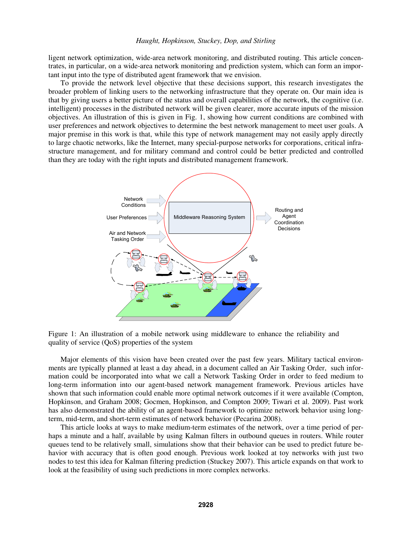ligent network optimization, wide-area network monitoring, and distributed routing. This article concentrates, in particular, on a wide-area network monitoring and prediction system, which can form an important input into the type of distributed agent framework that we envision.

To provide the network level objective that these decisions support, this research investigates the broader problem of linking users to the networking infrastructure that they operate on. Our main idea is that by giving users a better picture of the status and overall capabilities of the network, the cognitive (i.e. intelligent) processes in the distributed network will be given clearer, more accurate inputs of the mission objectives. An illustration of this is given in Fig. 1, showing how current conditions are combined with user preferences and network objectives to determine the best network management to meet user goals. A major premise in this work is that, while this type of network management may not easily apply directly to large chaotic networks, like the Internet, many special-purpose networks for corporations, critical infrastructure management, and for military command and control could be better predicted and controlled than they are today with the right inputs and distributed management framework.



Figure 1: An illustration of a mobile network using middleware to enhance the reliability and quality of service (QoS) properties of the system

Major elements of this vision have been created over the past few years. Military tactical environments are typically planned at least a day ahead, in a document called an Air Tasking Order, such information could be incorporated into what we call a Network Tasking Order in order to feed medium to long-term information into our agent-based network management framework. Previous articles have shown that such information could enable more optimal network outcomes if it were available (Compton, Hopkinson, and Graham 2008; Gocmen, Hopkinson, and Compton 2009; Tiwari et al. 2009). Past work has also demonstrated the ability of an agent-based framework to optimize network behavior using longterm, mid-term, and short-term estimates of network behavior (Pecarina 2008).

This article looks at ways to make medium-term estimates of the network, over a time period of perhaps a minute and a half, available by using Kalman filters in outbound queues in routers. While router queues tend to be relatively small, simulations show that their behavior can be used to predict future behavior with accuracy that is often good enough. Previous work looked at toy networks with just two nodes to test this idea for Kalman filtering prediction (Stuckey 2007). This article expands on that work to look at the feasibility of using such predictions in more complex networks.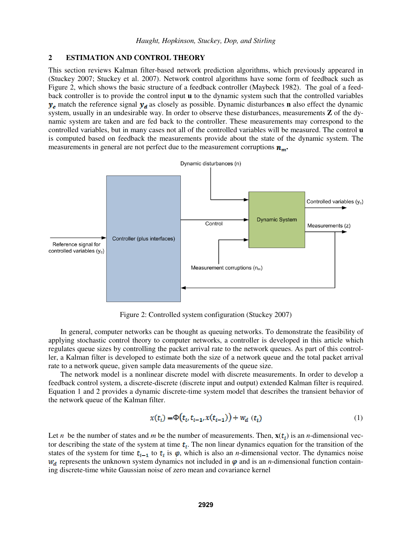## **2 ESTIMATION AND CONTROL THEORY**

This section reviews Kalman filter-based network prediction algorithms, which previously appeared in (Stuckey 2007; Stuckey et al. 2007). Network control algorithms have some form of feedback such as Figure 2, which shows the basic structure of a feedback controller (Maybeck 1982). The goal of a feedback controller is to provide the control input **u** to the dynamic system such that the controlled variables  $y_c$  match the reference signal  $y_d$  as closely as possible. Dynamic disturbances **n** also effect the dynamic system, usually in an undesirable way. In order to observe these disturbances, measurements **Z** of the dynamic system are taken and are fed back to the controller. These measurements may correspond to the controlled variables, but in many cases not all of the controlled variables will be measured. The control **u**  is computed based on feedback the measurements provide about the state of the dynamic system. The measurements in general are not perfect due to the measurement corruptions  $n_m$ .



Figure 2: Controlled system configuration (Stuckey 2007)

 In general, computer networks can be thought as queuing networks. To demonstrate the feasibility of applying stochastic control theory to computer networks, a controller is developed in this article which regulates queue sizes by controlling the packet arrival rate to the network queues. As part of this controller, a Kalman filter is developed to estimate both the size of a network queue and the total packet arrival rate to a network queue, given sample data measurements of the queue size.

 The network model is a nonlinear discrete model with discrete measurements. In order to develop a feedback control system, a discrete-discrete (discrete input and output) extended Kalman filter is required. Equation 1 and 2 provides a dynamic discrete-time system model that describes the transient behavior of the network queue of the Kalman filter.

$$
x(t_i) = \Phi(t_i, t_{i-1}, x(t_{i-1})) + w_d(t_i)
$$
\n(1)

Let *n* be the number of states and *m* be the number of measurements. Then,  $\mathbf{x}(t_i)$  is an *n*-dimensional vector describing the state of the system at time  $t_i$ . The non linear dynamics equation for the transition of the states of the system for time  $t_{i-1}$  to  $t_i$  is  $\varphi$ , which is also an *n*-dimensional vector. The dynamics noise  $w_d$  represents the unknown system dynamics not included in  $\varphi$  and is an *n*-dimensional function containing discrete-time white Gaussian noise of zero mean and covariance kernel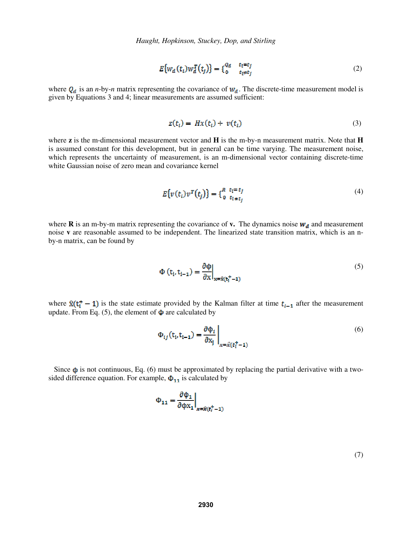$$
E\{w_d(t_i)w_d^T(t_j)\} = \{^{Q_d}_{0} \quad \begin{matrix} t_i = t_j \\ t_i \neq t_j \end{matrix} \tag{2}
$$

where  $Q_d$  is an *n*-by-*n* matrix representing the covariance of  $W_d$ . The discrete-time measurement model is given by Equations 3 and 4; linear measurements are assumed sufficient:

$$
z(t_i) = Hx(t_i) + v(t_i)
$$
\n(3)

where **z** is the m-dimensional measurement vector and **H** is the m-by-n measurement matrix. Note that **H**  is assumed constant for this development, but in general can be time varying. The measurement noise, which represents the uncertainty of measurement, is an m-dimensional vector containing discrete-time white Gaussian noise of zero mean and covariance kernel

$$
E\{v(t_i)v^T(t_j)\} = \{ \begin{matrix} R & t_i = t_j \\ 0 & t_i = t_j \end{matrix} \tag{4}
$$

where **R** is an m-by-m matrix representing the covariance of **v.** The dynamics noise  $w_d$  and measurement noise **v** are reasonable assumed to be independent. The linearized state transition matrix, which is an nby-n matrix, can be found by

$$
\Phi(t_i, t_{i-1}) = \frac{\partial \Phi}{\partial x}\Big|_{x = \hat{x}(t_i^+ - 1)}
$$
\n(5)

where  $\hat{x}(t_i^{\dagger} - 1)$  is the state estimate provided by the Kalman filter at time  $t_{i-1}$  after the measurement update. From Eq. (5), the element of  $\Phi$  are calculated by

$$
\Phi_{ij}(\mathbf{t}_i, \mathbf{t}_{i-1}) = \frac{\partial \Phi_i}{\partial \mathbf{x}_j} \bigg|_{\mathbf{x} = \hat{\mathbf{x}}(t_i^+ - 1)}
$$
\n(6)

Since  $\phi$  is not continuous, Eq. (6) must be approximated by replacing the partial derivative with a twosided difference equation. For example,  $\Phi_{11}$  is calculated by

$$
\Phi_{11} = \frac{\partial \Phi_1}{\partial \varphi x_1} \bigg|_{x = \hat{x}(t_1^+ - 1)}
$$

(7)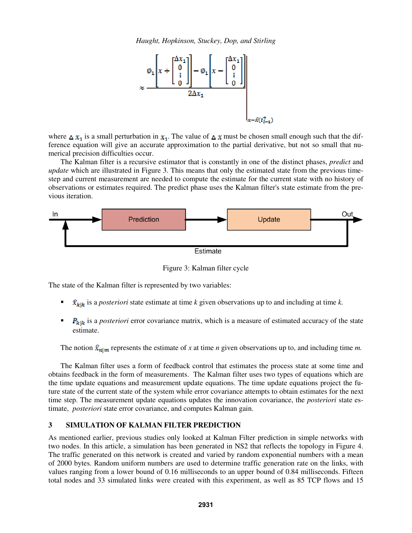

where  $\Delta x_1$  is a small perturbation in  $x_1$ . The value of  $\Delta x$  must be chosen small enough such that the difference equation will give an accurate approximation to the partial derivative, but not so small that numerical precision difficulties occur.

 The Kalman filter is a recursive estimator that is constantly in one of the distinct phases, *predict* and *update* which are illustrated in Figure 3. This means that only the estimated state from the previous timestep and current measurement are needed to compute the estimate for the current state with no history of observations or estimates required. The predict phase uses the Kalman filter's state estimate from the previous iteration.



Figure 3: Kalman filter cycle

The state of the Kalman filter is represented by two variables:

- $\hat{x}_{k|k}$  is a *posteriori* state estimate at time *k* given observations up to and including at time *k*.
- $\blacksquare$   $P_{k|k}$  is a *posteriori* error covariance matrix, which is a measure of estimated accuracy of the state estimate.

The notion  $\mathcal{R}_{n|m}$  represents the estimate of *x* at time *n* given observations up to, and including time *m*.

The Kalman filter uses a form of feedback control that estimates the process state at some time and obtains feedback in the form of measurements. The Kalman filter uses two types of equations which are the time update equations and measurement update equations. The time update equations project the future state of the current state of the system while error covariance attempts to obtain estimates for the next time step. The measurement update equations updates the innovation covariance, the *posteriori* state estimate, *posteriori* state error covariance, and computes Kalman gain.

## **3 SIMULATION OF KALMAN FILTER PREDICTION**

As mentioned earlier, previous studies only looked at Kalman Filter prediction in simple networks with two nodes. In this article, a simulation has been generated in NS2 that reflects the topology in Figure 4. The traffic generated on this network is created and varied by random exponential numbers with a mean of 2000 bytes. Random uniform numbers are used to determine traffic generation rate on the links, with values ranging from a lower bound of 0.16 milliseconds to an upper bound of 0.84 milliseconds. Fifteen total nodes and 33 simulated links were created with this experiment, as well as 85 TCP flows and 15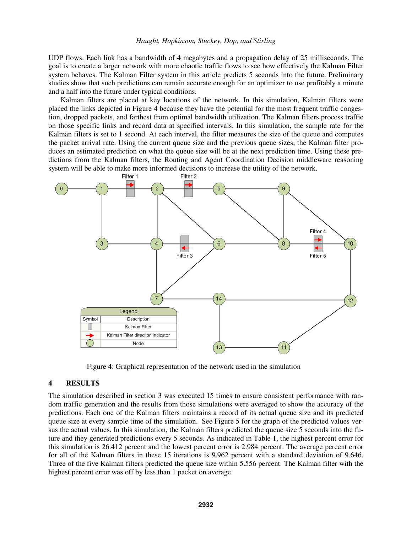UDP flows. Each link has a bandwidth of 4 megabytes and a propagation delay of 25 milliseconds. The goal is to create a larger network with more chaotic traffic flows to see how effectively the Kalman Filter system behaves. The Kalman Filter system in this article predicts 5 seconds into the future. Preliminary studies show that such predictions can remain accurate enough for an optimizer to use profitably a minute and a half into the future under typical conditions.

 Kalman filters are placed at key locations of the network. In this simulation, Kalman filters were placed the links depicted in Figure 4 because they have the potential for the most frequent traffic congestion, dropped packets, and farthest from optimal bandwidth utilization. The Kalman filters process traffic on those specific links and record data at specified intervals. In this simulation, the sample rate for the Kalman filters is set to 1 second. At each interval, the filter measures the size of the queue and computes the packet arrival rate. Using the current queue size and the previous queue sizes, the Kalman filter produces an estimated prediction on what the queue size will be at the next prediction time. Using these predictions from the Kalman filters, the Routing and Agent Coordination Decision middleware reasoning system will be able to make more informed decisions to increase the utility of the network.



Figure 4: Graphical representation of the network used in the simulation

## **4 RESULTS**

The simulation described in section 3 was executed 15 times to ensure consistent performance with random traffic generation and the results from those simulations were averaged to show the accuracy of the predictions. Each one of the Kalman filters maintains a record of its actual queue size and its predicted queue size at every sample time of the simulation. See Figure 5 for the graph of the predicted values versus the actual values. In this simulation, the Kalman filters predicted the queue size 5 seconds into the future and they generated predictions every 5 seconds. As indicated in Table 1, the highest percent error for this simulation is 26.412 percent and the lowest percent error is 2.984 percent. The average percent error for all of the Kalman filters in these 15 iterations is 9.962 percent with a standard deviation of 9.646. Three of the five Kalman filters predicted the queue size within 5.556 percent. The Kalman filter with the highest percent error was off by less than 1 packet on average.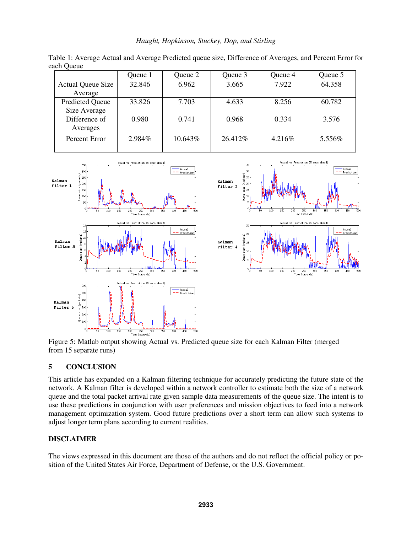|  |  | Haught, Hopkinson, Stuckey, Dop, and Stirling |
|--|--|-----------------------------------------------|
|  |  |                                               |

|                                        | Queue 1 | Queue 2 | Queue 3  | Queue 4 | Queue 5 |
|----------------------------------------|---------|---------|----------|---------|---------|
| <b>Actual Queue Size</b><br>Average    | 32.846  | 6.962   | 3.665    | 7.922   | 64.358  |
| <b>Predicted Queue</b><br>Size Average | 33.826  | 7.703   | 4.633    | 8.256   | 60.782  |
| Difference of<br>Averages              | 0.980   | 0.741   | 0.968    | 0.334   | 3.576   |
| Percent Error                          | 2.984%  | 10.643% | 26.412\% | 4.216\% | 5.556%  |

Table 1: Average Actual and Average Predicted queue size, Difference of Averages, and Percent Error for each Queue



from 15 separate runs)

# **5 CONCLUSION**

This article has expanded on a Kalman filtering technique for accurately predicting the future state of the network. A Kalman filter is developed within a network controller to estimate both the size of a network queue and the total packet arrival rate given sample data measurements of the queue size. The intent is to use these predictions in conjunction with user preferences and mission objectives to feed into a network management optimization system. Good future predictions over a short term can allow such systems to adjust longer term plans according to current realities.

# **DISCLAIMER**

The views expressed in this document are those of the authors and do not reflect the official policy or position of the United States Air Force, Department of Defense, or the U.S. Government.